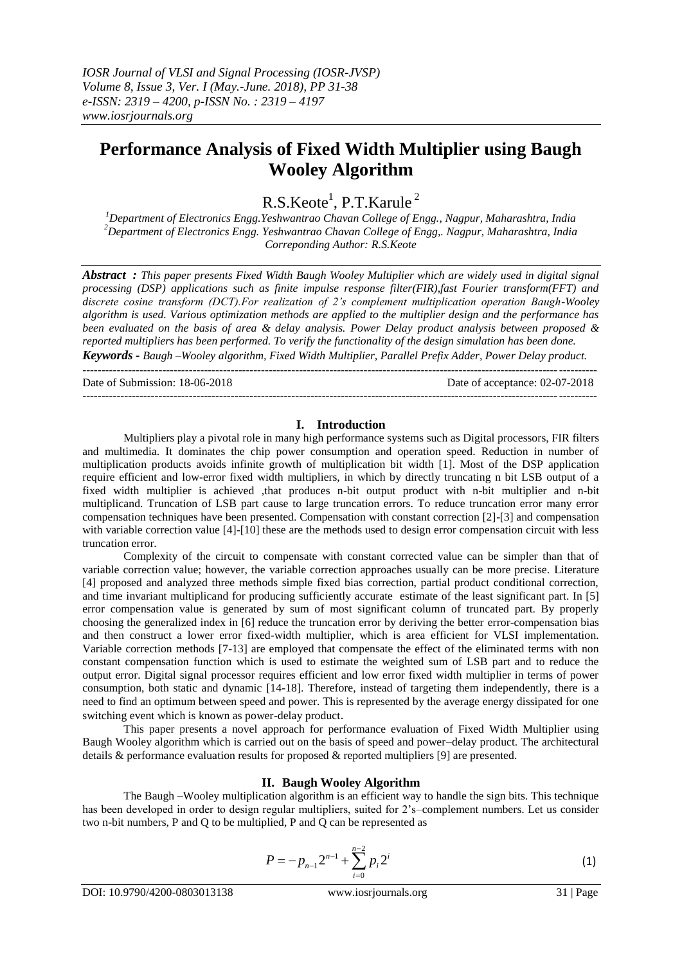# **Performance Analysis of Fixed Width Multiplier using Baugh Wooley Algorithm**

 $R.S.Keote<sup>1</sup>, P.T.Karule<sup>2</sup>$ 

*<sup>1</sup>Department of Electronics Engg.Yeshwantrao Chavan College of Engg., Nagpur, Maharashtra, India <sup>2</sup>Department of Electronics Engg. Yeshwantrao Chavan College of Engg,. Nagpur, Maharashtra, India Correponding Author: R.S.Keote*

*Abstract : This paper presents Fixed Width Baugh Wooley Multiplier which are widely used in digital signal processing (DSP) applications such as finite impulse response filter(FIR),fast Fourier transform(FFT) and discrete cosine transform (DCT).For realization of 2's complement multiplication operation Baugh-Wooley algorithm is used. Various optimization methods are applied to the multiplier design and the performance has been evaluated on the basis of area & delay analysis. Power Delay product analysis between proposed & reported multipliers has been performed. To verify the functionality of the design simulation has been done. Keywords - Baugh –Wooley algorithm, Fixed Width Multiplier, Parallel Prefix Adder, Power Delay product.*

---------------------------------------------------------------------------------------------------------------------------------------

Date of Submission: 18-06-2018 Date of acceptance: 02-07-2018

#### **I. Introduction**

---------------------------------------------------------------------------------------------------------------------------------------

Multipliers play a pivotal role in many high performance systems such as Digital processors, FIR filters and multimedia. It dominates the chip power consumption and operation speed. Reduction in number of multiplication products avoids infinite growth of multiplication bit width [1]. Most of the DSP application require efficient and low-error fixed width multipliers, in which by directly truncating n bit LSB output of a fixed width multiplier is achieved ,that produces n-bit output product with n-bit multiplier and n-bit multiplicand. Truncation of LSB part cause to large truncation errors. To reduce truncation error many error compensation techniques have been presented. Compensation with constant correction [2]-[3] and compensation with variable correction value [4]-[10] these are the methods used to design error compensation circuit with less truncation error.

Complexity of the circuit to compensate with constant corrected value can be simpler than that of variable correction value; however, the variable correction approaches usually can be more precise. Literature [4] proposed and analyzed three methods simple fixed bias correction, partial product conditional correction, and time invariant multiplicand for producing sufficiently accurate estimate of the least significant part. In [5] error compensation value is generated by sum of most significant column of truncated part. By properly choosing the generalized index in [6] reduce the truncation error by deriving the better error-compensation bias and then construct a lower error fixed-width multiplier, which is area efficient for VLSI implementation. Variable correction methods [7-13] are employed that compensate the effect of the eliminated terms with non constant compensation function which is used to estimate the weighted sum of LSB part and to reduce the output error. Digital signal processor requires efficient and low error fixed width multiplier in terms of power consumption, both static and dynamic [14-18]. Therefore, instead of targeting them independently, there is a need to find an optimum between speed and power. This is represented by the average energy dissipated for one switching event which is known as power-delay product.

This paper presents a novel approach for performance evaluation of Fixed Width Multiplier using Baugh Wooley algorithm which is carried out on the basis of speed and power–delay product. The architectural details & performance evaluation results for proposed & reported multipliers [9] are presented.

## **II. Baugh Wooley Algorithm**

The Baugh –Wooley multiplication algorithm is an efficient way to handle the sign bits. This technique has been developed in order to design regular multipliers, suited for 2's–complement numbers. Let us consider two n-bit numbers, P and Q to be multiplied, P and Q can be represented as

$$
P = -p_{n-1}2^{n-1} + \sum_{i=0}^{n-2} p_i 2^i
$$
 (1)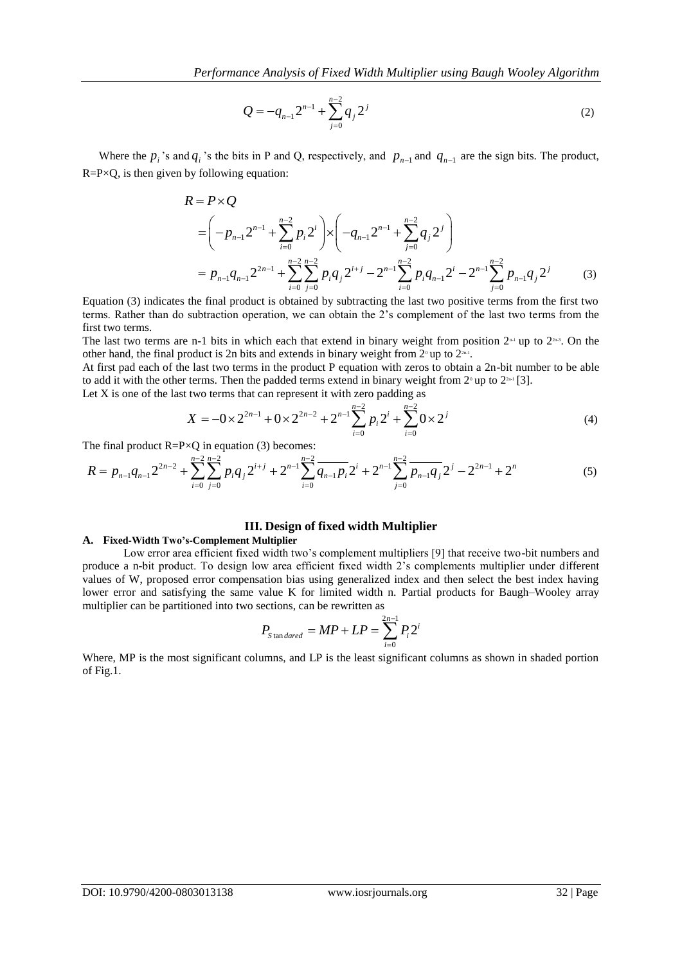$$
Q = -q_{n-1}2^{n-1} + \sum_{j=0}^{n-2} q_j 2^j
$$
 (2)

Where the  $p_i$ 's and  $q_i$ 's the bits in P and Q, respectively, and  $p_{n-1}$  and  $q_{n-1}$  are the sign bits. The product,  $R = P \times Q$ , is then given by following equation:

$$
R = P \times Q
$$
  
=  $\left(-p_{n-1}2^{n-1} + \sum_{i=0}^{n-2} p_i 2^i\right) \times \left(-q_{n-1}2^{n-1} + \sum_{j=0}^{n-2} q_j 2^j\right)$   
=  $p_{n-1}q_{n-1}2^{2n-1} + \sum_{i=0}^{n-2} \sum_{j=0}^{n-2} p_i q_j 2^{i+j} - 2^{n-1} \sum_{i=0}^{n-2} p_i q_{n-1} 2^i - 2^{n-1} \sum_{j=0}^{n-2} p_{n-1} q_j 2^j$  (3)

Equation (3) indicates the final product is obtained by subtracting the last two positive terms from the first two terms. Rather than do subtraction operation, we can obtain the 2's complement of the last two terms from the first two terms.

The last two terms are n-1 bits in which each that extend in binary weight from position  $2<sup>n-1</sup>$  up to  $2<sup>n-3</sup>$ . On the other hand, the final product is 2n bits and extends in binary weight from  $2^{\circ}$  up to  $2^{\text{m}}$ .

At first pad each of the last two terms in the product P equation with zeros to obtain a 2n-bit number to be able

to add it with the other terms. Then the padded terms extend in binary weight from 
$$
2^{\circ}
$$
 up to  $2^{2n}$  [3].  
Let X is one of the last two terms that can represent it with zero padding as  

$$
X = -0 \times 2^{2n-1} + 0 \times 2^{2n-2} + 2^{n-1} \sum_{i=0}^{n-2} p_i 2^i + \sum_{i=0}^{n-2} 0 \times 2^i
$$
(4)

The final product  $R = P \times Q$  in equation (3) becomes:

Let X is one of the last two terms that can represent it with zero padding as  
\n
$$
X = -0 \times 2^{2n-1} + 0 \times 2^{2n-2} + 2^{n-1} \sum_{i=0}^{n-2} p_i 2^i + \sum_{i=0}^{n-2} 0 \times 2^i
$$
\n
$$
\text{The final product } R = P \times Q \text{ in equation (3) becomes:}
$$
\n
$$
R = p_{n-1} q_{n-1} 2^{2n-2} + \sum_{i=0}^{n-2} \sum_{j=0}^{n-2} p_i q_j 2^{i+j} + 2^{n-1} \sum_{i=0}^{n-2} \overline{q_{n-1} p_i} 2^i + 2^{n-1} \sum_{j=0}^{n-2} \overline{p_{n-1} q_j} 2^j - 2^{2n-1} + 2^n \tag{5}
$$

## **III. Design of fixed width Multiplier**

#### **A. Fixed-Width Two's-Complement Multiplier**

Low error area efficient fixed width two's complement multipliers [9] that receive two-bit numbers and produce a n-bit product. To design low area efficient fixed width 2's complements multiplier under different values of W, proposed error compensation bias using generalized index and then select the best index having lower error and satisfying the same value K for limited width n. Partial products for Baugh–Wooley array multiplier can be partitioned into two sections, can be rewritten as

$$
P_{\text{Standard}} = MP + LP = \sum_{i=0}^{2n-1} P_i 2^i
$$

Where, MP is the most significant columns, and LP is the least significant columns as shown in shaded portion of Fig.1.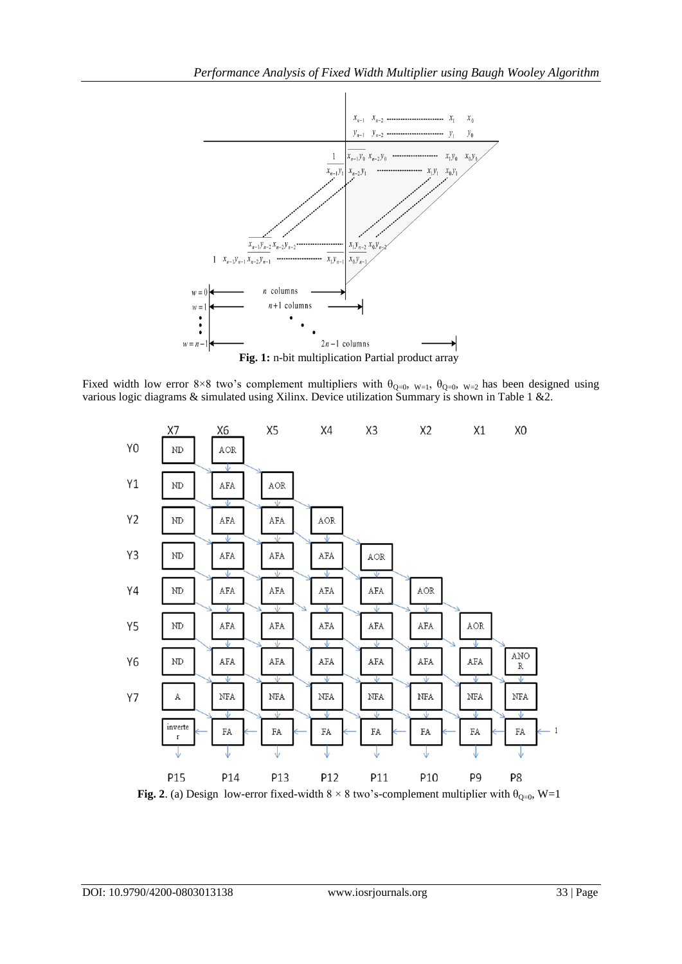

Fixed width low error 8×8 two's complement multipliers with  $\theta_{Q=0}$ ,  $_{W=1}$ ,  $\theta_{Q=0}$ ,  $_{W=2}$  has been designed using various logic diagrams & simulated using Xilinx. Device utilization Summary is shown in Table 1 &2.



**Fig. 2**. (a) Design low-error fixed-width  $8 \times 8$  two's-complement multiplier with  $\theta_{Q=0}$ , W=1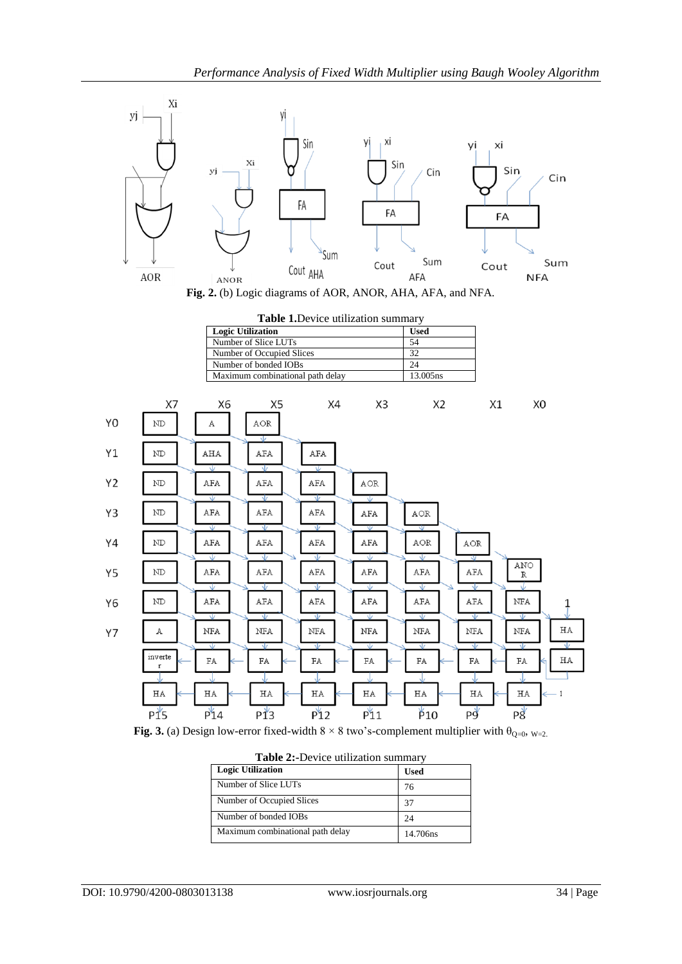



|    |                        | <b>Logic Utilization</b>                           |                                  | Table 1. Device utilization summary |                         |                |     |                    |    |  |
|----|------------------------|----------------------------------------------------|----------------------------------|-------------------------------------|-------------------------|----------------|-----|--------------------|----|--|
|    |                        | <b>Used</b>                                        |                                  |                                     |                         |                |     |                    |    |  |
|    |                        | 54                                                 |                                  |                                     |                         |                |     |                    |    |  |
|    |                        | 32<br>24                                           |                                  |                                     |                         |                |     |                    |    |  |
|    |                        | Number of Occupied Slices<br>Number of bonded IOBs |                                  |                                     |                         |                |     |                    |    |  |
|    |                        |                                                    | Maximum combinational path delay |                                     |                         | 13.005ns       |     |                    |    |  |
|    |                        |                                                    |                                  |                                     |                         |                |     |                    |    |  |
|    | X7                     | X6                                                 | X5                               | X4                                  | X <sub>3</sub>          | X <sub>2</sub> | X1  | X <sub>0</sub>     |    |  |
| Y0 | ND                     | А                                                  | AOR                              |                                     |                         |                |     |                    |    |  |
| Υ1 | ${\rm ND}$             | AHA                                                | Ŵ<br>AFA                         | AFA                                 |                         |                |     |                    |    |  |
|    |                        | v                                                  | ∿                                | Ψ                                   |                         |                |     |                    |    |  |
| Y2 | ND                     | AFA                                                | AFA                              | AFA                                 | AOR                     |                |     |                    |    |  |
|    |                        | Ŵ                                                  |                                  | Ψ                                   | Ψ                       |                |     |                    |    |  |
| Y3 | ND                     | AFA                                                | AFA                              | AFA                                 | AFA                     | AOR            |     |                    |    |  |
|    |                        | v                                                  | w                                | v                                   | $\overline{\mathsf{v}}$ | ₩              |     |                    |    |  |
| Υ4 | ${\rm ND}$             | AFA                                                | AFA                              | AFA                                 | AFA                     | AOR            | AOR |                    |    |  |
|    |                        |                                                    | ر                                | Jz                                  | w                       | νĿ             |     |                    |    |  |
| Υ5 | ${\rm ND}$             | AFA                                                | <b>AFA</b>                       | AFA                                 | AFA                     | AFA            | AFA | ANO<br>$\mathbb R$ |    |  |
|    |                        | w                                                  | Ŵ                                | Ψ                                   | Ψ                       | Ψ<br>7         | Ŵ   | Ψ                  |    |  |
| Y6 | ND                     | AFA                                                | <b>AFA</b>                       | AFA                                 | AFA                     | AFA            | AFA | NFA                | 1  |  |
|    |                        | ₩                                                  | ₩                                | v                                   | ₩                       | v              | ₩   | v                  |    |  |
| Y7 | А                      | NFA                                                | NFA                              | NFA                                 | NFA                     | NFA            | NFA | NFA                | ΗA |  |
|    |                        | Ψ                                                  | v                                | v                                   | Ψ                       | Ψ              | Ψ   | v                  | ⊽  |  |
|    | inverte<br>$\mathbf r$ | FA                                                 | FA                               | FA                                  | FA                      | FA             | FA  | FA                 | ΗA |  |
|    |                        |                                                    |                                  |                                     |                         |                |     |                    |    |  |
|    | ΗA                     | ΗA                                                 | ΗA                               | ΗA                                  | ΗA                      | HA             | ΗA  | HA                 |    |  |
|    | $P_{15}$               | P14                                                | $P_{13}^*$                       | $P_{12}$                            | $P_{11}$                | $\beta_{10}$   | Pg  | P8                 |    |  |

**Fig. 3.** (a) Design low-error fixed-width  $8 \times 8$  two's-complement multiplier with  $\theta_{Q=0}$ ,  $_{W=2}$ .

| <b>Table 2:-Device utilization summary</b> |             |  |  |  |  |
|--------------------------------------------|-------------|--|--|--|--|
| <b>Logic Utilization</b>                   | <b>Used</b> |  |  |  |  |
| Number of Slice LUTs                       | 76          |  |  |  |  |
| Number of Occupied Slices                  | 37          |  |  |  |  |
| Number of bonded IOBs                      | 24          |  |  |  |  |
| Maximum combinational path delay           | 14.706ns    |  |  |  |  |

| Table 2:-Device utilization summary |  |  |
|-------------------------------------|--|--|
|-------------------------------------|--|--|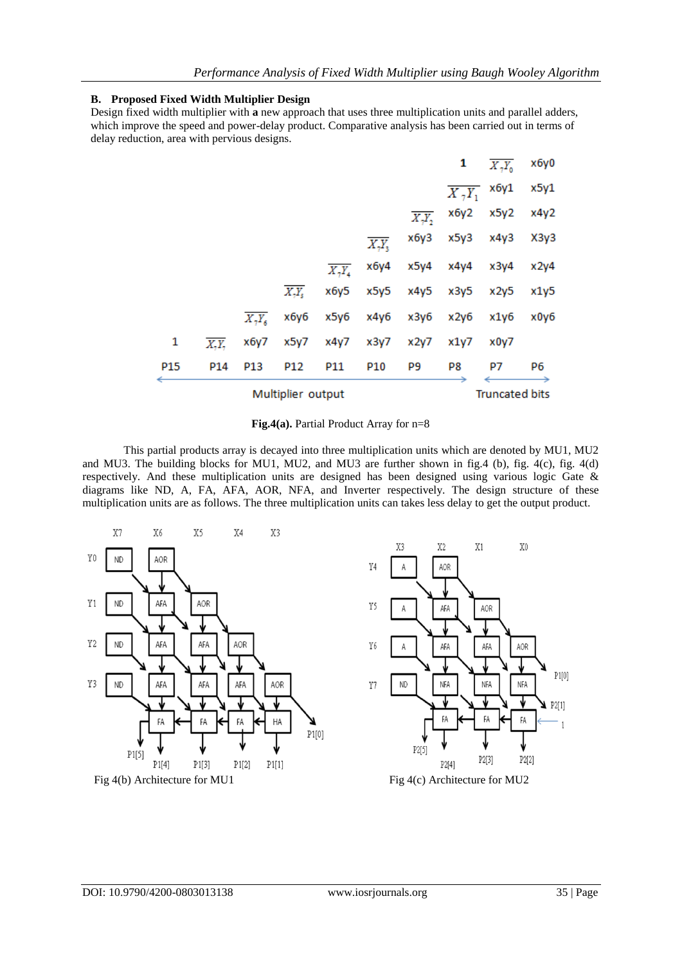## **B. Proposed Fixed Width Multiplier Design**

Design fixed width multiplier with **a** new approach that uses three multiplication units and parallel adders, which improve the speed and power-delay product. Comparative analysis has been carried out in terms of delay reduction, area with pervious designs.

| Multiplier output |       |                           |          |          |      |                    |                     | <b>Truncated bits</b>        |      |
|-------------------|-------|---------------------------|----------|----------|------|--------------------|---------------------|------------------------------|------|
| P15               | P14   | P <sub>13</sub>           | P12      | P11      | P10  | P9                 | P8                  | P7                           | P6   |
| 1                 | X, Y, | x6y7                      | x5y7     | x4y7     | x3y7 | x2y7               | x1y7                | x0y7                         |      |
|                   |       | $\overline{X,Y_{\kappa}}$ | хбуб     | x5y6     | x4y6 | x3y6               | x2y6                | x1y6                         | x0y6 |
|                   |       |                           | $X, Y_s$ | x6y5     | x5y5 | x4y5               | x3y5                | x2y5                         | x1y5 |
|                   |       |                           |          | $X_7Y_4$ | x6y4 | x5y4               | x4y4                | x3y4                         | x2y4 |
|                   |       |                           |          |          | X, Y | хбуЗ               | x5y3                | x4y3                         | X3y3 |
|                   |       |                           |          |          |      | $\overline{X,Y_2}$ | x6y2                | x5y2                         | x4y2 |
|                   |       |                           |          |          |      |                    | $\overline{X_7Y_1}$ | х6у1                         | x5y1 |
|                   |       |                           |          |          |      |                    | 1                   | $\overline{X_{\gamma}Y_{0}}$ | хбу0 |

#### **Fig.4(a).** Partial Product Array for n=8

This partial products array is decayed into three multiplication units which are denoted by MU1, MU2 and MU3. The building blocks for MU1, MU2, and MU3 are further shown in fig.4 (b), fig. 4(c), fig. 4(d) respectively. And these multiplication units are designed has been designed using various logic Gate & diagrams like ND, A, FA, AFA, AOR, NFA, and Inverter respectively. The design structure of these multiplication units are as follows. The three multiplication units can takes less delay to get the output product.

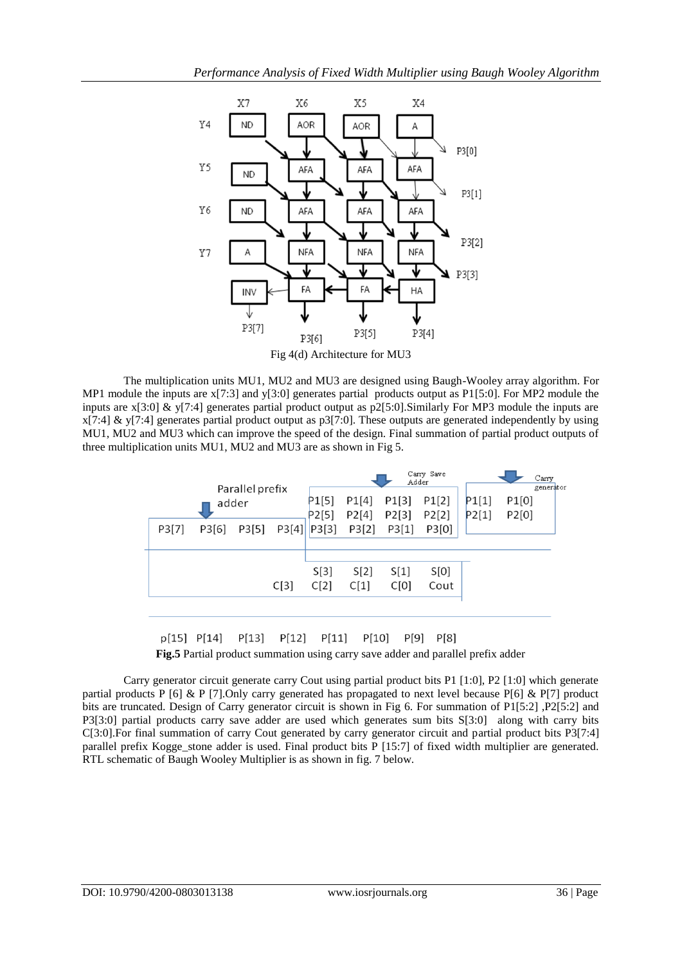

Fig 4(d) Architecture for MU3

The multiplication units MU1, MU2 and MU3 are designed using Baugh-Wooley array algorithm. For MP1 module the inputs are x[7:3] and y[3:0] generates partial products output as P1[5:0]. For MP2 module the inputs are x[3:0] & y[7:4] generates partial product output as p2[5:0].Similarly For MP3 module the inputs are  $x[7:4]$  & y[7:4] generates partial product output as p3[7:0]. These outputs are generated independently by using MU1, MU2 and MU3 which can improve the speed of the design. Final summation of partial product outputs of three multiplication units MU1, MU2 and MU3 are as shown in Fig 5.





Carry generator circuit generate carry Cout using partial product bits P1 [1:0], P2 [1:0] which generate partial products P [6] & P [7]. Only carry generated has propagated to next level because P[6] & P[7] product bits are truncated. Design of Carry generator circuit is shown in Fig 6. For summation of P1[5:2] ,P2[5:2] and P3[3:0] partial products carry save adder are used which generates sum bits S[3:0] along with carry bits C[3:0].For final summation of carry Cout generated by carry generator circuit and partial product bits P3[7:4] parallel prefix Kogge stone adder is used. Final product bits P [15:7] of fixed width multiplier are generated. RTL schematic of Baugh Wooley Multiplier is as shown in fig. 7 below.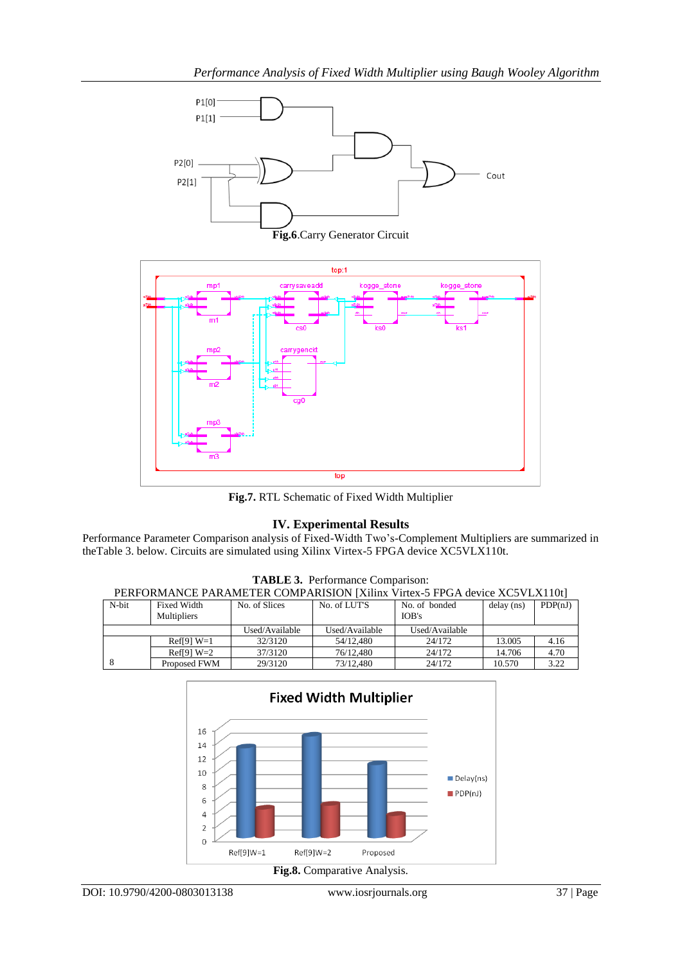

**Fig.6**.Carry Generator Circuit



**Fig.7.** RTL Schematic of Fixed Width Multiplier

## **IV. Experimental Results**

Performance Parameter Comparison analysis of Fixed-Width Two's-Complement Multipliers are summarized in theTable 3. below. Circuits are simulated using Xilinx Virtex-5 FPGA device XC5VLX110t.

| PERFORMANCE PARAMETER COMPARISION [Xilinx Virtex-5 FPGA device XC5VLX110t] |                    |                |                |                |            |         |  |  |  |
|----------------------------------------------------------------------------|--------------------|----------------|----------------|----------------|------------|---------|--|--|--|
| N-bit                                                                      | <b>Fixed Width</b> | No. of Slices  | No. of LUT'S   | No. of bonded  | delay (ns) | PDP(nJ) |  |  |  |
|                                                                            | <b>Multipliers</b> |                |                | IOB's          |            |         |  |  |  |
|                                                                            |                    | Used/Available | Used/Available | Used/Available |            |         |  |  |  |
|                                                                            | $Ref[9] W=1$       | 32/3120        | 54/12.480      | 24/172         | 13.005     | 4.16    |  |  |  |
|                                                                            | $Ref[9] W=2$       | 37/3120        | 76/12.480      | 24/172         | 14.706     | 4.70    |  |  |  |
|                                                                            | Proposed FWM       | 29/3120        | 73/12.480      | 24/172         | 10.570     | 3.22    |  |  |  |

**TABLE 3.** Performance Comparison: